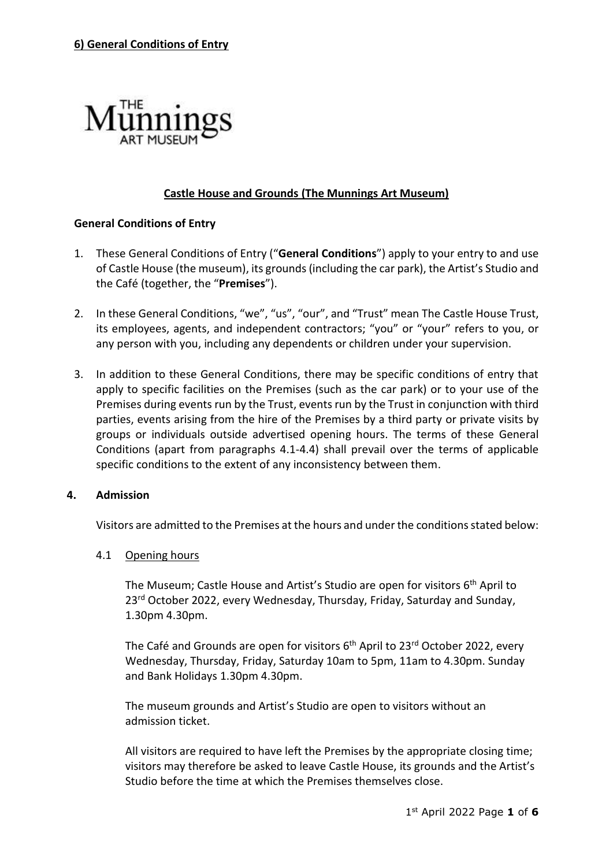

# **Castle House and Grounds (The Munnings Art Museum)**

## **General Conditions of Entry**

- 1. These General Conditions of Entry ("**General Conditions**") apply to your entry to and use of Castle House (the museum), its grounds (including the car park), the Artist's Studio and the Café (together, the "**Premises**").
- 2. In these General Conditions, "we", "us", "our", and "Trust" mean The Castle House Trust, its employees, agents, and independent contractors; "you" or "your" refers to you, or any person with you, including any dependents or children under your supervision.
- 3. In addition to these General Conditions, there may be specific conditions of entry that apply to specific facilities on the Premises (such as the car park) or to your use of the Premises during events run by the Trust, events run by the Trust in conjunction with third parties, events arising from the hire of the Premises by a third party or private visits by groups or individuals outside advertised opening hours. The terms of these General Conditions (apart from paragraphs 4.1-4.4) shall prevail over the terms of applicable specific conditions to the extent of any inconsistency between them.

## **4. Admission**

Visitors are admitted to the Premises at the hours and under the conditions stated below:

#### 4.1 Opening hours

The Museum; Castle House and Artist's Studio are open for visitors 6<sup>th</sup> April to 23<sup>rd</sup> October 2022, every Wednesday, Thursday, Friday, Saturday and Sunday, 1.30pm 4.30pm.

The Café and Grounds are open for visitors 6<sup>th</sup> April to 23<sup>rd</sup> October 2022, every Wednesday, Thursday, Friday, Saturday 10am to 5pm, 11am to 4.30pm. Sunday and Bank Holidays 1.30pm 4.30pm.

The museum grounds and Artist's Studio are open to visitors without an admission ticket.

All visitors are required to have left the Premises by the appropriate closing time; visitors may therefore be asked to leave Castle House, its grounds and the Artist's Studio before the time at which the Premises themselves close.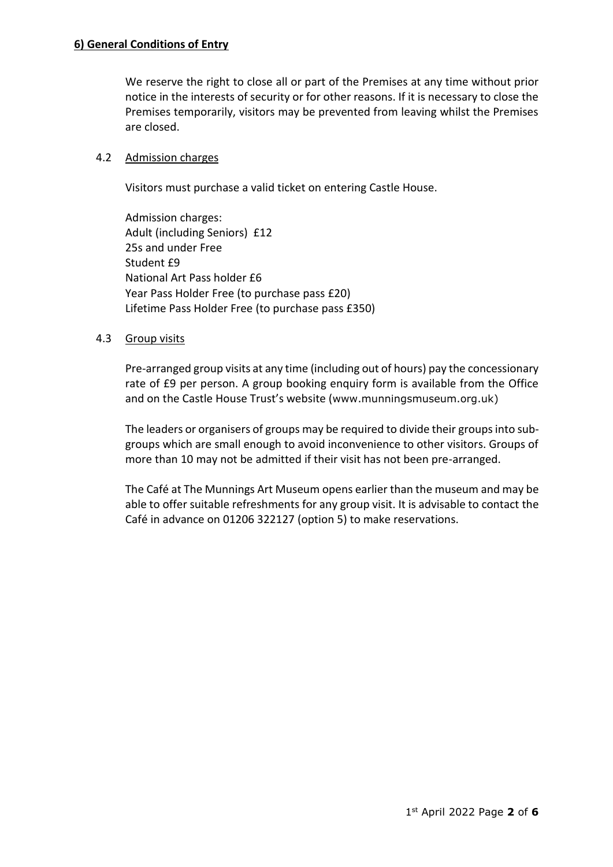We reserve the right to close all or part of the Premises at any time without prior notice in the interests of security or for other reasons. If it is necessary to close the Premises temporarily, visitors may be prevented from leaving whilst the Premises are closed.

## 4.2 Admission charges

Visitors must purchase a valid ticket on entering Castle House.

Admission charges: Adult (including Seniors) £12 25s and under Free Student £9 National Art Pass holder £6 Year Pass Holder Free (to purchase pass £20) Lifetime Pass Holder Free (to purchase pass £350)

# 4.3 Group visits

Pre-arranged group visits at any time (including out of hours) pay the concessionary rate of £9 per person. A group booking enquiry form is available from the Office and on the Castle House Trust's website (www.munningsmuseum.org.uk)

The leaders or organisers of groups may be required to divide their groupsinto subgroups which are small enough to avoid inconvenience to other visitors. Groups of more than 10 may not be admitted if their visit has not been pre-arranged.

The Café at The Munnings Art Museum opens earlier than the museum and may be able to offer suitable refreshments for any group visit. It is advisable to contact the Café in advance on 01206 322127 (option 5) to make reservations.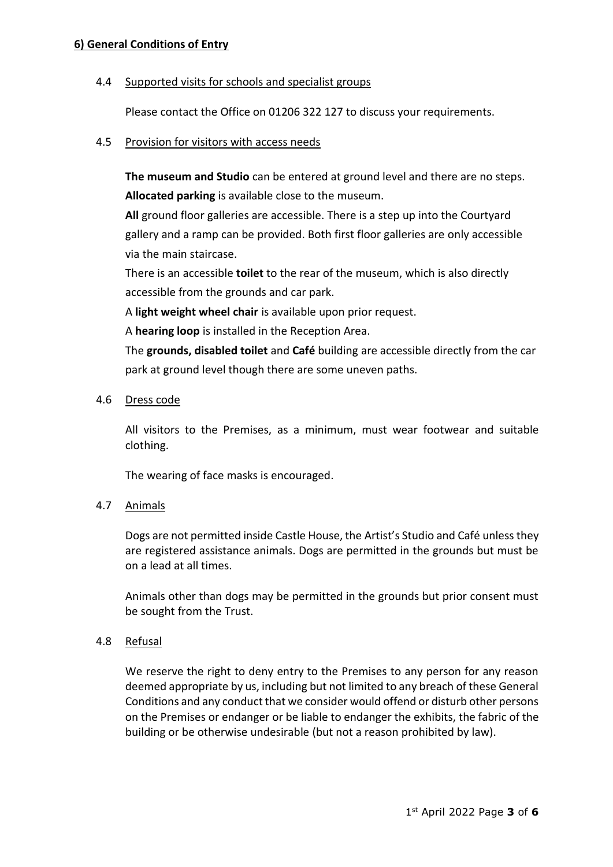# **6) General Conditions of Entry**

## 4.4 Supported visits for schools and specialist groups

Please contact the Office on 01206 322 127 to discuss your requirements.

#### 4.5 Provision for visitors with access needs

**The museum and Studio** can be entered at ground level and there are no steps. **Allocated parking** is available close to the museum.

**All** ground floor galleries are accessible. There is a step up into the Courtyard gallery and a ramp can be provided. Both first floor galleries are only accessible via the main staircase.

There is an accessible **toilet** to the rear of the museum, which is also directly accessible from the grounds and car park.

A **light weight wheel chair** is available upon prior request.

A **hearing loop** is installed in the Reception Area.

The **grounds, disabled toilet** and **Café** building are accessible directly from the car park at ground level though there are some uneven paths.

## 4.6 Dress code

All visitors to the Premises, as a minimum, must wear footwear and suitable clothing.

The wearing of face masks is encouraged.

## 4.7 Animals

Dogs are not permitted inside Castle House, the Artist's Studio and Café unless they are registered assistance animals. Dogs are permitted in the grounds but must be on a lead at all times.

Animals other than dogs may be permitted in the grounds but prior consent must be sought from the Trust.

## 4.8 Refusal

We reserve the right to deny entry to the Premises to any person for any reason deemed appropriate by us, including but not limited to any breach of these General Conditions and any conduct that we consider would offend or disturb other persons on the Premises or endanger or be liable to endanger the exhibits, the fabric of the building or be otherwise undesirable (but not a reason prohibited by law).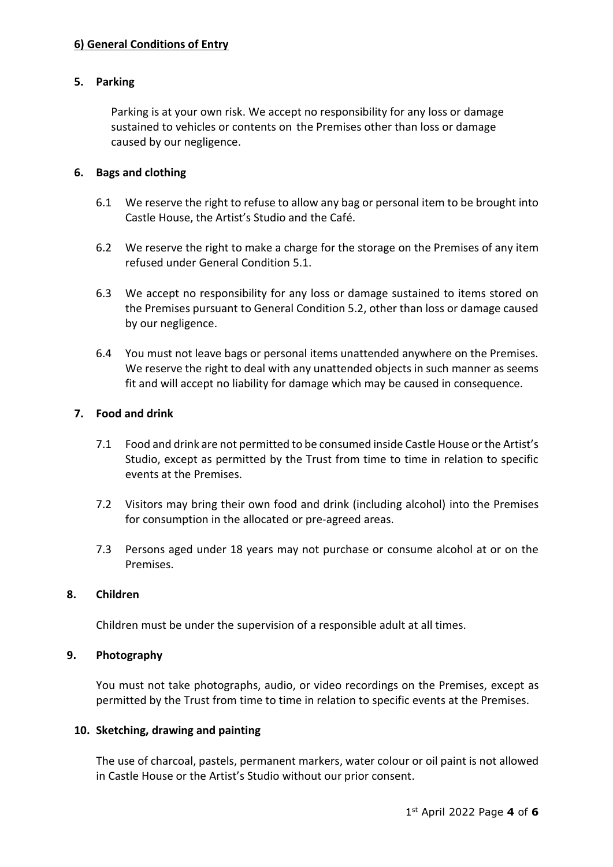# **6) General Conditions of Entry**

## **5. Parking**

Parking is at your own risk. We accept no responsibility for any loss or damage sustained to vehicles or contents on the Premises other than loss or damage caused by our negligence.

## **6. Bags and clothing**

- 6.1 We reserve the right to refuse to allow any bag or personal item to be brought into Castle House, the Artist's Studio and the Café.
- 6.2 We reserve the right to make a charge for the storage on the Premises of any item refused under General Condition 5.1.
- 6.3 We accept no responsibility for any loss or damage sustained to items stored on the Premises pursuant to General Condition 5.2, other than loss or damage caused by our negligence.
- 6.4 You must not leave bags or personal items unattended anywhere on the Premises. We reserve the right to deal with any unattended objects in such manner as seems fit and will accept no liability for damage which may be caused in consequence.

#### **7. Food and drink**

- 7.1 Food and drink are not permitted to be consumed inside Castle House or the Artist's Studio, except as permitted by the Trust from time to time in relation to specific events at the Premises.
- 7.2 Visitors may bring their own food and drink (including alcohol) into the Premises for consumption in the allocated or pre-agreed areas.
- 7.3 Persons aged under 18 years may not purchase or consume alcohol at or on the Premises.

## **8. Children**

Children must be under the supervision of a responsible adult at all times.

#### **9. Photography**

You must not take photographs, audio, or video recordings on the Premises, except as permitted by the Trust from time to time in relation to specific events at the Premises.

#### **10. Sketching, drawing and painting**

The use of charcoal, pastels, permanent markers, water colour or oil paint is not allowed in Castle House or the Artist's Studio without our prior consent.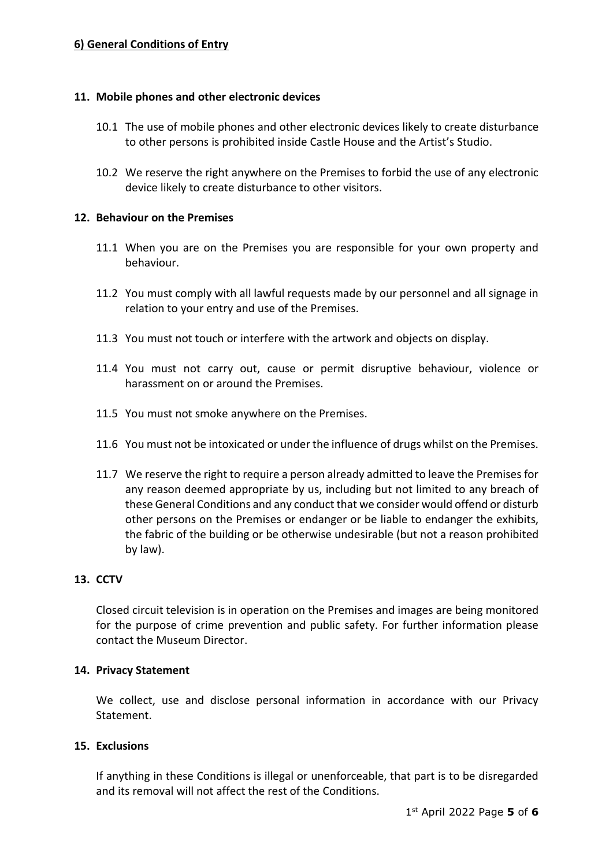# **6) General Conditions of Entry**

#### **11. Mobile phones and other electronic devices**

- 10.1 The use of mobile phones and other electronic devices likely to create disturbance to other persons is prohibited inside Castle House and the Artist's Studio.
- 10.2 We reserve the right anywhere on the Premises to forbid the use of any electronic device likely to create disturbance to other visitors.

#### **12. Behaviour on the Premises**

- 11.1 When you are on the Premises you are responsible for your own property and behaviour.
- 11.2 You must comply with all lawful requests made by our personnel and all signage in relation to your entry and use of the Premises.
- 11.3 You must not touch or interfere with the artwork and objects on display.
- 11.4 You must not carry out, cause or permit disruptive behaviour, violence or harassment on or around the Premises.
- 11.5 You must not smoke anywhere on the Premises.
- 11.6 You must not be intoxicated or under the influence of drugs whilst on the Premises.
- 11.7 We reserve the right to require a person already admitted to leave the Premises for any reason deemed appropriate by us, including but not limited to any breach of these General Conditions and any conduct that we consider would offend or disturb other persons on the Premises or endanger or be liable to endanger the exhibits, the fabric of the building or be otherwise undesirable (but not a reason prohibited by law).

# **13. CCTV**

Closed circuit television is in operation on the Premises and images are being monitored for the purpose of crime prevention and public safety. For further information please contact the Museum Director.

## **14. Privacy Statement**

We collect, use and disclose personal information in accordance with our Privacy Statement.

#### **15. Exclusions**

If anything in these Conditions is illegal or unenforceable, that part is to be disregarded and its removal will not affect the rest of the Conditions.